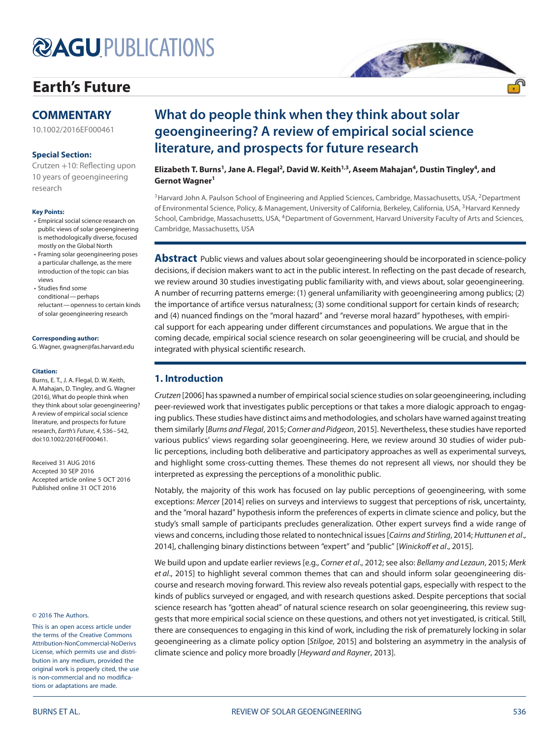# **@AGUPUBLICATIONS**

# **[Earth's Future](http://onlinelibrary.wiley.com/journal/10.1002/%28ISSN%292328-4277)**

# **COMMENTARY**

[10.1002/2016EF000461](http://dx.doi.org/10.1002/2016EF000461)

# **Special Section:**

Crutzen +10: Reflecting upon [10 years of geoengineering](http://onlinelibrary.wiley.com/journal/10.1002/(ISSN)2328-4277/specialsection/GEOENGIN1) research

# **Key Points:**

- Empirical social science research on public views of solar geoengineering is methodologically diverse, focused mostly on the Global North
- Framing solar geoengineering poses a particular challenge, as the mere introduction of the topic can bias views
- Studies find some conditional—perhaps reluctant—openness to certain kinds of solar geoengineering research

#### **Corresponding author:**

G. Wagner, gwagner@fas.harvard.edu

#### **Citation:**

Burns, E. T., J. A. Flegal, D. W. Keith, A. Mahajan, D. Tingley, and G. Wagner (2016), What do people think when they think about solar geoengineering? A review of empirical social science literature, and prospects for future research, Earth's Future, 4, 536–542, doi[:10.1002/2016EF000461.](http://dx.doi.org/info:doi/10.1002/2016EF000461)

Received 31 AUG 2016 Accepted 30 SEP 2016 Accepted article online 5 OCT 2016 Published online 31 OCT 2016

#### © 2016 The Authors.

This is an open access article under the terms of the Creative Commons Attribution-NonCommercial-NoDerivs License, which permits use and distribution in any medium, provided the original work is properly cited, the use is non-commercial and no modifications or adaptations are made.

# **What do people think when they think about solar geoengineering? A review of empirical social science literature, and prospects for future research**

**Elizabeth T. Burns<sup>1</sup>, Jane A. Flegal<sup>2</sup>, David W. Keith<sup>1,3</sup>, Aseem Mahajan<sup>4</sup>, Dustin Tingley<sup>4</sup>, and Gernot Wagner<sup>1</sup>**

<sup>1</sup> Harvard John A. Paulson School of Engineering and Applied Sciences, Cambridge, Massachusetts, USA, <sup>2</sup>Department of Environmental Science, Policy, & Management, University of California, Berkeley, California, USA, <sup>3</sup>Harvard Kennedy School, Cambridge, Massachusetts, USA, <sup>4</sup>Department of Government, Harvard University Faculty of Arts and Sciences, Cambridge, Massachusetts, USA

ASA REAL PROPERTY.

**Abstract** Public views and values about solar geoengineering should be incorporated in science-policy decisions, if decision makers want to act in the public interest. In reflecting on the past decade of research, we review around 30 studies investigating public familiarity with, and views about, solar geoengineering. A number of recurring patterns emerge: (1) general unfamiliarity with geoengineering among publics; (2) the importance of artifice versus naturalness; (3) some conditional support for certain kinds of research; and (4) nuanced findings on the "moral hazard" and "reverse moral hazard" hypotheses, with empirical support for each appearing under different circumstances and populations. We argue that in the coming decade, empirical social science research on solar geoengineering will be crucial, and should be integrated with physical scientific research.

# **1. Introduction**

Crutzen [2006] has spawned a number of empirical social science studies on solar geoengineering, including peer-reviewed work that investigates public perceptions or that takes a more dialogic approach to engaging publics. These studies have distinct aims and methodologies, and scholars have warned against treating them similarly [Burns and Flegal, 2015; Corner and Pidgeon, 2015]. Nevertheless, these studies have reported various publics' views regarding solar geoengineering. Here, we review around 30 studies of wider public perceptions, including both deliberative and participatory approaches as well as experimental surveys, and highlight some cross-cutting themes. These themes do not represent all views, nor should they be interpreted as expressing the perceptions of a monolithic public.

Notably, the majority of this work has focused on lay public perceptions of geoengineering, with some exceptions: Mercer [2014] relies on surveys and interviews to suggest that perceptions of risk, uncertainty, and the "moral hazard" hypothesis inform the preferences of experts in climate science and policy, but the study's small sample of participants precludes generalization. Other expert surveys find a wide range of views and concerns, including those related to nontechnical issues [Cairns and Stirling, 2014; Huttunen et al., 2014], challenging binary distinctions between "expert" and "public" [Winickoff et al., 2015].

We build upon and update earlier reviews [e.g., Corner et al., 2012; see also: Bellamy and Lezaun, 2015; Merk et al., 2015] to highlight several common themes that can and should inform solar geoengineering discourse and research moving forward. This review also reveals potential gaps, especially with respect to the kinds of publics surveyed or engaged, and with research questions asked. Despite perceptions that social science research has "gotten ahead" of natural science research on solar geoengineering, this review suggests that more empirical social science on these questions, and others not yet investigated, is critical. Still, there are consequences to engaging in this kind of work, including the risk of prematurely locking in solar geoengineering as a climate policy option [Stilgoe, 2015] and bolstering an asymmetry in the analysis of climate science and policy more broadly [Heyward and Rayner, 2013].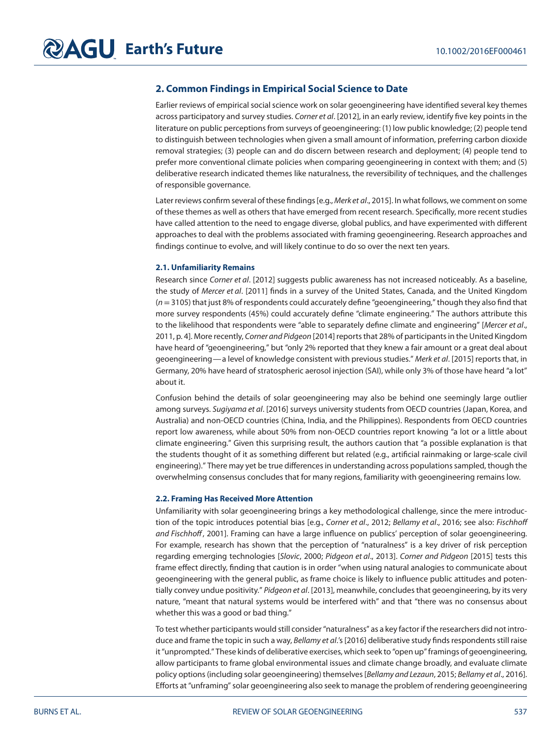# **2. Common Findings in Empirical Social Science to Date**

Earlier reviews of empirical social science work on solar geoengineering have identified several key themes across participatory and survey studies. Corner et al. [2012], in an early review, identify five key points in the literature on public perceptions from surveys of geoengineering: (1) low public knowledge; (2) people tend to distinguish between technologies when given a small amount of information, preferring carbon dioxide removal strategies; (3) people can and do discern between research and deployment; (4) people tend to prefer more conventional climate policies when comparing geoengineering in context with them; and (5) deliberative research indicated themes like naturalness, the reversibility of techniques, and the challenges of responsible governance.

Later reviews confirm several of these findings [e.g., Merk et al., 2015]. In what follows, we comment on some of these themes as well as others that have emerged from recent research. Specifically, more recent studies have called attention to the need to engage diverse, global publics, and have experimented with different approaches to deal with the problems associated with framing geoengineering. Research approaches and findings continue to evolve, and will likely continue to do so over the next ten years.

## **2.1. Unfamiliarity Remains**

Research since Corner et al. [2012] suggests public awareness has not increased noticeably. As a baseline, the study of Mercer et al. [2011] finds in a survey of the United States, Canada, and the United Kingdom  $(n=3105)$  that just 8% of respondents could accurately define "geoengineering," though they also find that more survey respondents (45%) could accurately define "climate engineering." The authors attribute this to the likelihood that respondents were "able to separately define climate and engineering" [Mercer et al., 2011, p. 4]. More recently, Corner and Pidgeon [2014] reports that 28% of participants in the United Kingdom have heard of "geoengineering," but "only 2% reported that they knew a fair amount or a great deal about geoengineering—a level of knowledge consistent with previous studies." Merk et al. [2015] reports that, in Germany, 20% have heard of stratospheric aerosol injection (SAI), while only 3% of those have heard "a lot" about it.

Confusion behind the details of solar geoengineering may also be behind one seemingly large outlier among surveys. Sugiyama et al. [2016] surveys university students from OECD countries (Japan, Korea, and Australia) and non-OECD countries (China, India, and the Philippines). Respondents from OECD countries report low awareness, while about 50% from non-OECD countries report knowing "a lot or a little about climate engineering." Given this surprising result, the authors caution that "a possible explanation is that the students thought of it as something different but related (e.g., artificial rainmaking or large-scale civil engineering)." There may yet be true differences in understanding across populations sampled, though the overwhelming consensus concludes that for many regions, familiarity with geoengineering remains low.

## **2.2. Framing Has Received More Attention**

Unfamiliarity with solar geoengineering brings a key methodological challenge, since the mere introduction of the topic introduces potential bias [e.g., Corner et al., 2012; Bellamy et al., 2016; see also: Fischhoff and Fischhoff, 2001]. Framing can have a large influence on publics' perception of solar geoengineering. For example, research has shown that the perception of "naturalness" is a key driver of risk perception regarding emerging technologies [Slovic, 2000; Pidgeon et al., 2013]. Corner and Pidgeon [2015] tests this frame effect directly, finding that caution is in order "when using natural analogies to communicate about geoengineering with the general public, as frame choice is likely to influence public attitudes and potentially convey undue positivity." Pidgeon et al. [2013], meanwhile, concludes that geoengineering, by its very nature, "meant that natural systems would be interfered with" and that "there was no consensus about whether this was a good or bad thing."

To test whether participants would still consider "naturalness" as a key factor if the researchers did not introduce and frame the topic in such a way, Bellamy et al.'s [2016] deliberative study finds respondents still raise it "unprompted." These kinds of deliberative exercises, which seek to "open up" framings of geoengineering, allow participants to frame global environmental issues and climate change broadly, and evaluate climate policy options (including solar geoengineering) themselves [Bellamy and Lezaun, 2015; Bellamy et al., 2016]. Efforts at "unframing" solar geoengineering also seek to manage the problem of rendering geoengineering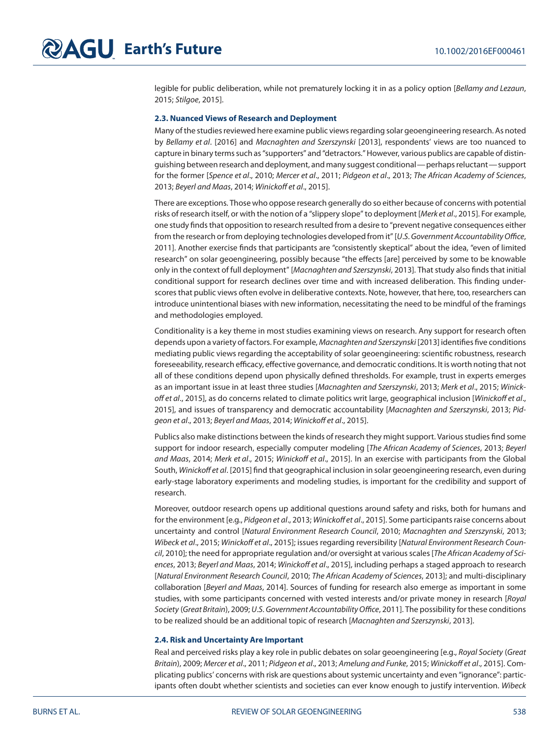legible for public deliberation, while not prematurely locking it in as a policy option [Bellamy and Lezaun, 2015; Stilgoe, 2015].

# **2.3. Nuanced Views of Research and Deployment**

Many of the studies reviewed here examine public views regarding solar geoengineering research. As noted by Bellamy et al. [2016] and Macnaghten and Szerszynski [2013], respondents' views are too nuanced to capture in binary terms such as "supporters" and "detractors." However, various publics are capable of distinguishing between research and deployment, and many suggest conditional—perhaps reluctant—support for the former [Spence et al., 2010; Mercer et al., 2011; Pidgeon et al., 2013; The African Academy of Sciences, 2013; Beyerl and Maas, 2014; Winickoff et al., 2015].

There are exceptions. Those who oppose research generally do so either because of concerns with potential risks of research itself, or with the notion of a "slippery slope" to deployment [Merk et al., 2015]. For example, one study finds that opposition to research resulted from a desire to "prevent negative consequences either from the research or from deploying technologies developed from it" [U.S. Government Accountability Office, 2011]. Another exercise finds that participants are "consistently skeptical" about the idea, "even of limited research" on solar geoengineering, possibly because "the effects [are] perceived by some to be knowable only in the context of full deployment" [Macnaghten and Szerszynski, 2013]. That study also finds that initial conditional support for research declines over time and with increased deliberation. This finding underscores that public views often evolve in deliberative contexts. Note, however, that here, too, researchers can introduce unintentional biases with new information, necessitating the need to be mindful of the framings and methodologies employed.

Conditionality is a key theme in most studies examining views on research. Any support for research often depends upon a variety of factors. For example, Macnaghten and Szerszynski [2013] identifies five conditions mediating public views regarding the acceptability of solar geoengineering: scientific robustness, research foreseeability, research efficacy, effective governance, and democratic conditions. It is worth noting that not all of these conditions depend upon physically defined thresholds. For example, trust in experts emerges as an important issue in at least three studies [Macnaghten and Szerszynski, 2013; Merk et al., 2015; Winickoff et al., 2015], as do concerns related to climate politics writ large, geographical inclusion [Winickoff et al., 2015], and issues of transparency and democratic accountability [Macnaghten and Szerszynski, 2013; Pidgeon et al., 2013; Beyerl and Maas, 2014; Winickoff et al., 2015].

Publics also make distinctions between the kinds of research they might support. Various studies find some support for indoor research, especially computer modeling [The African Academy of Sciences, 2013; Beyerl and Maas, 2014; Merk et al., 2015; Winickoff et al., 2015]. In an exercise with participants from the Global South, Winickoff et al. [2015] find that geographical inclusion in solar geoengineering research, even during early-stage laboratory experiments and modeling studies, is important for the credibility and support of research.

Moreover, outdoor research opens up additional questions around safety and risks, both for humans and for the environment [e.g., Pidgeon et al., 2013; Winickoff et al., 2015]. Some participants raise concerns about uncertainty and control [Natural Environment Research Council, 2010; Macnaghten and Szerszynski, 2013; Wibeck et al., 2015; Winickoff et al., 2015]; issues regarding reversibility [Natural Environment Research Council, 2010]; the need for appropriate regulation and/or oversight at various scales [The African Academy of Sciences, 2013; Beyerl and Maas, 2014; Winickoff et al., 2015], including perhaps a staged approach to research [Natural Environment Research Council, 2010; The African Academy of Sciences, 2013]; and multi-disciplinary collaboration [Beyerl and Maas, 2014]. Sources of funding for research also emerge as important in some studies, with some participants concerned with vested interests and/or private money in research [Royal Society (Great Britain), 2009; U.S. Government Accountability Office, 2011]. The possibility for these conditions to be realized should be an additional topic of research [Macnaghten and Szerszynski, 2013].

#### **2.4. Risk and Uncertainty Are Important**

Real and perceived risks play a key role in public debates on solar geoengineering [e.g., Royal Society (Great Britain), 2009; Mercer et al., 2011; Pidgeon et al., 2013; Amelung and Funke, 2015; Winickoff et al., 2015]. Complicating publics' concerns with risk are questions about systemic uncertainty and even "ignorance": participants often doubt whether scientists and societies can ever know enough to justify intervention. Wibeck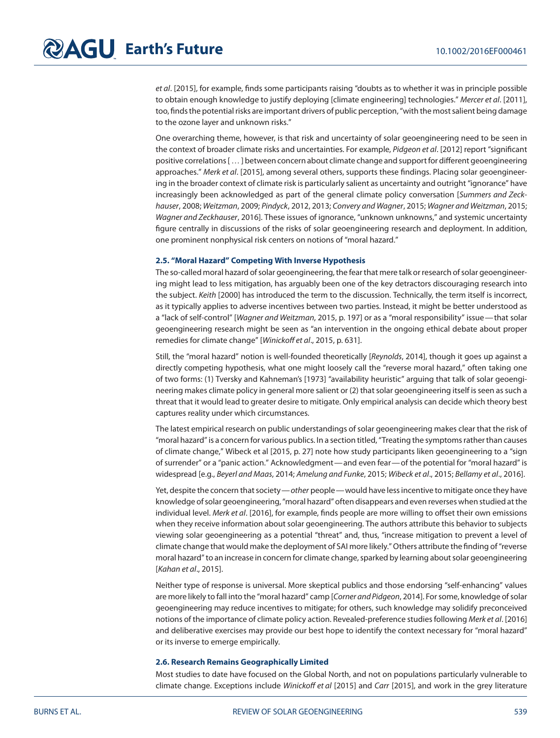et al. [2015], for example, finds some participants raising "doubts as to whether it was in principle possible to obtain enough knowledge to justify deploying [climate engineering] technologies." Mercer et al. [2011], too, finds the potential risks are important drivers of public perception, "with the most salient being damage to the ozone layer and unknown risks."

One overarching theme, however, is that risk and uncertainty of solar geoengineering need to be seen in the context of broader climate risks and uncertainties. For example, Pidgeon et al. [2012] report "significant positive correlations […] between concern about climate change and support for different geoengineering approaches." Merk et al. [2015], among several others, supports these findings. Placing solar geoengineering in the broader context of climate risk is particularly salient as uncertainty and outright "ignorance" have increasingly been acknowledged as part of the general climate policy conversation [Summers and Zeckhauser, 2008; Weitzman, 2009; Pindyck, 2012, 2013; Convery and Wagner, 2015; Wagner and Weitzman, 2015; Wagner and Zeckhauser, 2016]. These issues of ignorance, "unknown unknowns," and systemic uncertainty figure centrally in discussions of the risks of solar geoengineering research and deployment. In addition, one prominent nonphysical risk centers on notions of "moral hazard."

# **2.5. "Moral Hazard" Competing With Inverse Hypothesis**

The so-called moral hazard of solar geoengineering, the fear that mere talk or research of solar geoengineering might lead to less mitigation, has arguably been one of the key detractors discouraging research into the subject. Keith [2000] has introduced the term to the discussion. Technically, the term itself is incorrect, as it typically applies to adverse incentives between two parties. Instead, it might be better understood as a "lack of self-control" [Wagner and Weitzman, 2015, p. 197] or as a "moral responsibility" issue— that solar geoengineering research might be seen as "an intervention in the ongoing ethical debate about proper remedies for climate change" [Winickoff et al., 2015, p. 631].

Still, the "moral hazard" notion is well-founded theoretically [Reynolds, 2014], though it goes up against a directly competing hypothesis, what one might loosely call the "reverse moral hazard," often taking one of two forms: (1) Tversky and Kahneman's [1973] "availability heuristic" arguing that talk of solar geoengineering makes climate policy in general more salient or (2) that solar geoengineering itself is seen as such a threat that it would lead to greater desire to mitigate. Only empirical analysis can decide which theory best captures reality under which circumstances.

The latest empirical research on public understandings of solar geoengineering makes clear that the risk of "moral hazard" is a concern for various publics. In a section titled, "Treating the symptoms rather than causes of climate change," Wibeck et al [2015, p. 27] note how study participants liken geoengineering to a "sign of surrender" or a "panic action." Acknowledgment—and even fear—of the potential for "moral hazard" is widespread [e.g., Beyerl and Maas, 2014; Amelung and Funke, 2015; Wibeck et al., 2015; Bellamy et al., 2016].

Yet, despite the concern that society—other people—would have less incentive to mitigate once they have knowledge of solar geoengineering, "moral hazard" often disappears and even reverses when studied at the individual level. Merk et al. [2016], for example, finds people are more willing to offset their own emissions when they receive information about solar geoengineering. The authors attribute this behavior to subjects viewing solar geoengineering as a potential "threat" and, thus, "increase mitigation to prevent a level of climate change that would make the deployment of SAI more likely." Others attribute the finding of "reverse moral hazard" to an increase in concern for climate change, sparked by learning about solar geoengineering [Kahan et al., 2015].

Neither type of response is universal. More skeptical publics and those endorsing "self-enhancing" values are more likely to fall into the "moral hazard" camp [Corner and Pidgeon, 2014]. For some, knowledge of solar geoengineering may reduce incentives to mitigate; for others, such knowledge may solidify preconceived notions of the importance of climate policy action. Revealed-preference studies following Merk et al. [2016] and deliberative exercises may provide our best hope to identify the context necessary for "moral hazard" or its inverse to emerge empirically.

# **2.6. Research Remains Geographically Limited**

Most studies to date have focused on the Global North, and not on populations particularly vulnerable to climate change. Exceptions include Winickoff et al [2015] and Carr [2015], and work in the grey literature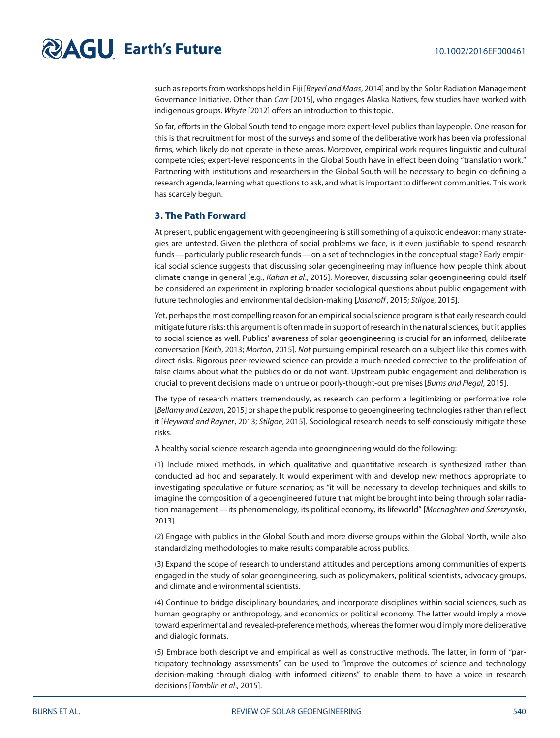such as reports from workshops held in Fiji [Beyerl and Maas, 2014] and by the Solar Radiation Management Governance Initiative. Other than Carr [2015], who engages Alaska Natives, few studies have worked with indigenous groups. Whyte [2012] offers an introduction to this topic.

So far, efforts in the Global South tend to engage more expert-level publics than laypeople. One reason for this is that recruitment for most of the surveys and some of the deliberative work has been via professional firms, which likely do not operate in these areas. Moreover, empirical work requires linguistic and cultural competencies; expert-level respondents in the Global South have in effect been doing "translation work." Partnering with institutions and researchers in the Global South will be necessary to begin co-defining a research agenda, learning what questions to ask, and what is important to different communities. This work has scarcely begun.

# **3. The Path Forward**

At present, public engagement with geoengineering is still something of a quixotic endeavor: many strategies are untested. Given the plethora of social problems we face, is it even justifiable to spend research funds—particularly public research funds—on a set of technologies in the conceptual stage? Early empirical social science suggests that discussing solar geoengineering may influence how people think about climate change in general [e.g., Kahan et al., 2015]. Moreover, discussing solar geoengineering could itself be considered an experiment in exploring broader sociological questions about public engagement with future technologies and environmental decision-making [Jasanoff, 2015; Stilgoe, 2015].

Yet, perhaps the most compelling reason for an empirical social science program is that early research could mitigate future risks: this argument is often made in support of research in the natural sciences, but it applies to social science as well. Publics' awareness of solar geoengineering is crucial for an informed, deliberate conversation [Keith, 2013; Morton, 2015]. Not pursuing empirical research on a subject like this comes with direct risks. Rigorous peer-reviewed science can provide a much-needed corrective to the proliferation of false claims about what the publics do or do not want. Upstream public engagement and deliberation is crucial to prevent decisions made on untrue or poorly-thought-out premises [Burns and Flegal, 2015].

The type of research matters tremendously, as research can perform a legitimizing or performative role [Bellamy and Lezaun, 2015] or shape the public response to geoengineering technologies rather than reflect it [Heyward and Rayner, 2013; Stilgoe, 2015]. Sociological research needs to self-consciously mitigate these risks.

A healthy social science research agenda into geoengineering would do the following:

(1) Include mixed methods, in which qualitative and quantitative research is synthesized rather than conducted ad hoc and separately. It would experiment with and develop new methods appropriate to investigating speculative or future scenarios; as "it will be necessary to develop techniques and skills to imagine the composition of a geoengineered future that might be brought into being through solar radiation management—its phenomenology, its political economy, its lifeworld" [Macnaghten and Szerszynski, 2013].

(2) Engage with publics in the Global South and more diverse groups within the Global North, while also standardizing methodologies to make results comparable across publics.

(3) Expand the scope of research to understand attitudes and perceptions among communities of experts engaged in the study of solar geoengineering, such as policymakers, political scientists, advocacy groups, and climate and environmental scientists.

(4) Continue to bridge disciplinary boundaries, and incorporate disciplines within social sciences, such as human geography or anthropology, and economics or political economy. The latter would imply a move toward experimental and revealed-preference methods, whereas the former would imply more deliberative and dialogic formats.

(5) Embrace both descriptive and empirical as well as constructive methods. The latter, in form of "participatory technology assessments" can be used to "improve the outcomes of science and technology decision-making through dialog with informed citizens" to enable them to have a voice in research decisions [Tomblin et al., 2015].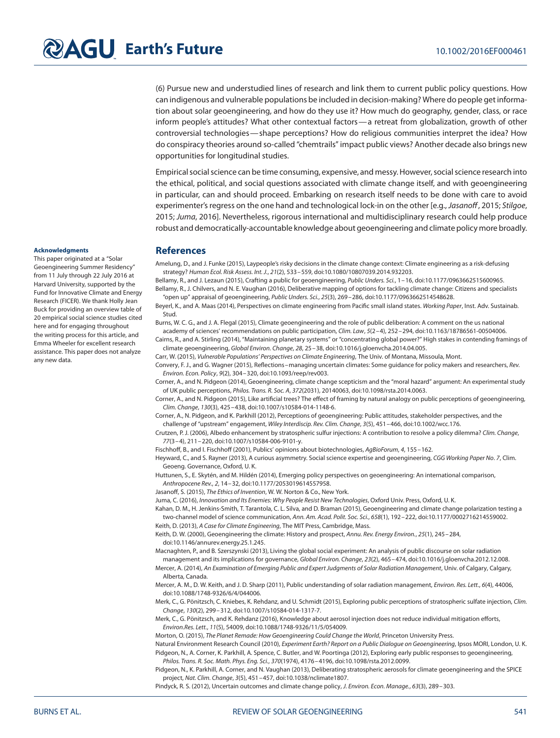(6) Pursue new and understudied lines of research and link them to current public policy questions. How can indigenous and vulnerable populations be included in decision-making? Where do people get information about solar geoengineering, and how do they use it? How much do geography, gender, class, or race inform people's attitudes? What other contextual factors—a retreat from globalization, growth of other controversial technologies—shape perceptions? How do religious communities interpret the idea? How do conspiracy theories around so-called "chemtrails" impact public views? Another decade also brings new opportunities for longitudinal studies.

Empirical social science can be time consuming, expensive, and messy. However, social science research into the ethical, political, and social questions associated with climate change itself, and with geoengineering in particular, can and should proceed. Embarking on research itself needs to be done with care to avoid experimenter's regress on the one hand and technological lock-in on the other [e.g., Jasanoff, 2015; Stilgoe, 2015; Juma, 2016]. Nevertheless, rigorous international and multidisciplinary research could help produce robust and democratically-accountable knowledge about geoengineering and climate policy more broadly.

#### **Acknowledgments**

This paper originated at a "Solar Geoengineering Summer Residency" from 11 July through 22 July 2016 at Harvard University, supported by the Fund for Innovative Climate and Energy Research (FICER). We thank Holly Jean Buck for providing an overview table of 20 empirical social science studies cited here and for engaging throughout the writing process for this article, and Emma Wheeler for excellent research assistance. This paper does not analyze any new data.

## **References**

Amelung, D., and J. Funke (2015), Laypeople's risky decisions in the climate change context: Climate engineering as a risk-defusing strategy? Human Ecol. Risk Assess. Int. J., 21(2), 533–559, doi[:10.1080/10807039.2014.932203.](http://dx.doi.org/info:doi/10.1080/10807039.2014.932203)

Bellamy, R., and J. Lezaun (2015), Crafting a public for geoengineering, Public Unders. Sci., 1–16, doi[:10.1177/0963662515600965.](http://dx.doi.org/info:doi/10.1177/0963662515600965) Bellamy, R., J. Chilvers, and N. E. Vaughan (2016), Deliberative mapping of options for tackling climate change: Citizens and specialists "open up" appraisal of geoengineering, Public Unders. Sci., 25(3), 269–286, doi[:10.1177/0963662514548628.](http://dx.doi.org/info:doi/10.1177/0963662514548628)

Beyerl, K., and A. Maas (2014), Perspectives on climate engineering from Pacific small island states. Working Paper, Inst. Adv. Sustainab. Stud.

Burns, W. C. G., and J. A. Flegal (2015), Climate geoengineering and the role of public deliberation: A comment on the us national academy of sciences' recommendations on public participation, Clim. Law, 5(2-4), 252-294, doi[:10.1163/18786561-00504006.](http://dx.doi.org/info:doi/10.1163/18786561-00504006)

Cairns, R., and A. Stirling (2014), "Maintaining planetary systems" or "concentrating global power?" High stakes in contending framings of climate geoengineering, Global Environ. Change, 28, 25–38, doi[:10.1016/j.gloenvcha.2014.04.005.](http://dx.doi.org/info:doi/10.1016/j.gloenvcha.2014.04.005)

Carr, W. (2015), Vulnerable Populations' Perspectives on Climate Engineering, The Univ. of Montana, Missoula, Mont.

Convery, F. J., and G. Wagner (2015), Reflections–managing uncertain climates: Some guidance for policy makers and researchers, Rev. Environ. Econ. Policy, 9(2), 304–320, doi[:10.1093/reep/rev003.](http://dx.doi.org/info:doi/10.1093/reep/rev003)

Corner, A., and N. Pidgeon (2014), Geoengineering, climate change scepticism and the "moral hazard" argument: An experimental study of UK public perceptions, Philos. Trans. R. Soc. A, 372(2031), 20140063, doi[:10.1098/rsta.2014.0063.](http://dx.doi.org/info:doi/10.1098/rsta.2014.0063)

Corner, A., and N. Pidgeon (2015), Like artificial trees? The effect of framing by natural analogy on public perceptions of geoengineering, Clim. Change, 130(3), 425–438, doi[:10.1007/s10584-014-1148-6.](http://dx.doi.org/info:doi/10.1007/s10584-014-1148-6)

Corner, A., N. Pidgeon, and K. Parkhill (2012), Perceptions of geoengineering: Public attitudes, stakeholder perspectives, and the challenge of "upstream" engagement, Wiley Interdiscip. Rev. Clim. Change, 3(5), 451–466, doi[:10.1002/wcc.176.](http://dx.doi.org/info:doi/10.1002/wcc.176)

Crutzen, P. J. (2006), Albedo enhancement by stratospheric sulfur injections: A contribution to resolve a policy dilemma? Clim. Change, 77(3–4), 211–220, doi[:10.1007/s10584-006-9101-y.](http://dx.doi.org/info:doi/10.1007/s10584-006-9101-y)

Fischhoff, B., and I. Fischhoff (2001), Publics' opinions about biotechnologies, AgBioForum, 4, 155-162.

Heyward, C., and S. Rayner (2013), A curious asymmetry. Social science expertise and geoengineering, CGG Working Paper No. 7, Clim. Geoeng. Governance, Oxford, U. K.

Huttunen, S., E. Skytén, and M. Hildén (2014), Emerging policy perspectives on geoengineering: An international comparison, Anthropocene Rev., 2, 14–32, doi[:10.1177/2053019614557958.](http://dx.doi.org/info:doi/10.1177/2053019614557958)

Jasanoff, S. (2015), The Ethics of Invention, W. W. Norton & Co., New York.

Juma, C. (2016), Innovation and Its Enemies: Why People Resist New Technologies, Oxford Univ. Press, Oxford, U. K.

Kahan, D. M., H. Jenkins-Smith, T. Tarantola, C. L. Silva, and D. Braman (2015), Geoengineering and climate change polarization testing a two-channel model of science communication, Ann. Am. Acad. Polit. Soc. Sci., 658(1), 192–222, do[i:10.1177/0002716214559002.](http://dx.doi.org/info:doi/10.1177/0002716214559002) Keith, D. (2013), A Case for Climate Engineering, The MIT Press, Cambridge, Mass.

Keith, D. W. (2000), Geoengineering the climate: History and prospect, Annu. Rev. Energy Environ., 25(1), 245–284, doi[:10.1146/annurev.energy.25.1.245.](http://dx.doi.org/info:doi/10.1146/annurev.energy.25.1.245)

Macnaghten, P., and B. Szerszynski (2013), Living the global social experiment: An analysis of public discourse on solar radiation management and its implications for governance, Global Environ. Change, 23(2), 465–474, doi[:10.1016/j.gloenvcha.2012.12.008.](http://dx.doi.org/info:doi/10.1016/j.gloenvcha.2012.12.008)

Mercer, A. (2014), An Examination of Emerging Public and Expert Judgments of Solar Radiation Management, Univ. of Calgary, Calgary, Alberta, Canada.

Mercer, A. M., D. W. Keith, and J. D. Sharp (2011), Public understanding of solar radiation management, Environ. Res. Lett., 6(4), 44006, doi[:10.1088/1748-9326/6/4/044006.](http://dx.doi.org/info:doi/10.1088/1748-9326/6/4/044006)

Merk, C., G. Pönitzsch, C. Kniebes, K. Rehdanz, and U. Schmidt (2015), Exploring public perceptions of stratospheric sulfate injection, Clim. Change, 130(2), 299–312, doi[:10.1007/s10584-014-1317-7.](http://dx.doi.org/info:doi/10.1007/s10584-014-1317-7)

Merk, C., G. Pönitzsch, and K. Rehdanz (2016), Knowledge about aerosol injection does not reduce individual mitigation efforts, Environ.Res. Lett., 11(5), 54009, doi[:10.1088/1748-9326/11/5/054009.](http://dx.doi.org/info:doi/10.1088/1748-9326/11/5/054009)

Morton, O. (2015), The Planet Remade: How Geoengineering Could Change the World, Princeton University Press.

Natural Environment Research Council (2010), Experiment Earth? Report on a Public Dialogue on Geoengineering, Ipsos MORI, London, U.K. Pidgeon, N., A. Corner, K. Parkhill, A. Spence, C. Butler, and W. Poortinga (2012), Exploring early public responses to geoengineering, Philos. Trans. R. Soc. Math. Phys. Eng. Sci., 370(1974), 4176–4196, doi[:10.1098/rsta.2012.0099.](http://dx.doi.org/info:doi/10.1098/rsta.2012.0099)

Pidgeon, N., K. Parkhill, A. Corner, and N. Vaughan (2013), Deliberating stratospheric aerosols for climate geoengineering and the SPICE project, Nat. Clim. Change, 3(5), 451–457, doi[:10.1038/nclimate1807.](http://dx.doi.org/info:doi/10.1038/nclimate1807)

Pindyck, R. S. (2012), Uncertain outcomes and climate change policy, J. Environ. Econ. Manage., 63(3), 289–303.